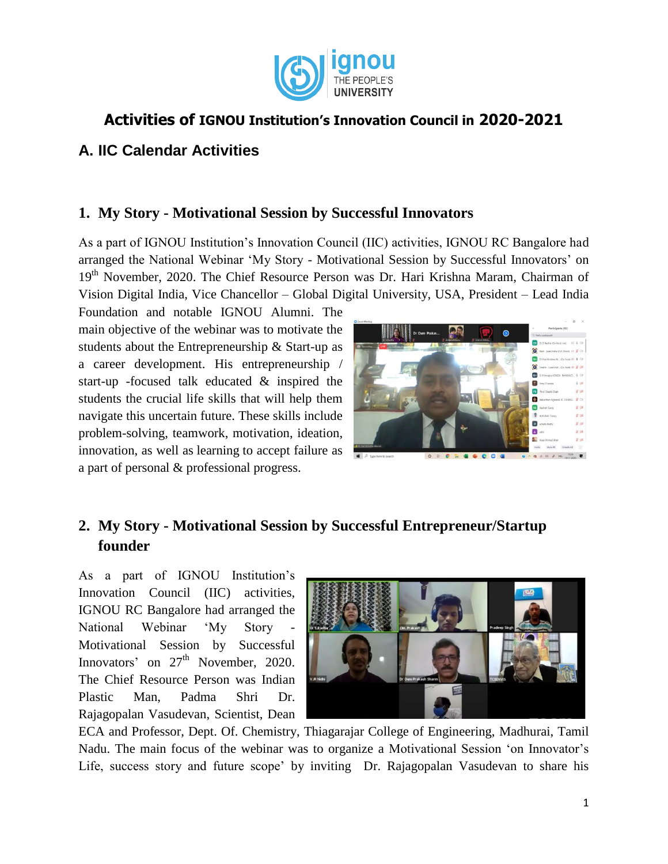

# **Activities of IGNOU Institution's Innovation Council in 2020-2021**

### **A. IIC Calendar Activities**

### **1. My Story - Motivational Session by Successful Innovators**

As a part of IGNOU Institution"s Innovation Council (IIC) activities, IGNOU RC Bangalore had arranged the National Webinar "My Story - Motivational Session by Successful Innovators" on 19<sup>th</sup> November, 2020. The Chief Resource Person was Dr. Hari Krishna Maram, Chairman of Vision Digital India, Vice Chancellor – Global Digital University, USA, President – Lead India

Foundation and notable IGNOU Alumni. The main objective of the webinar was to motivate the students about the Entrepreneurship & Start-up as a career development. His entrepreneurship / start-up -focused talk educated & inspired the students the crucial life skills that will help them navigate this uncertain future. These skills include problem-solving, teamwork, motivation, ideation, innovation, as well as learning to accept failure as a part of personal & professional progress.



# **2. My Story - Motivational Session by Successful Entrepreneur/Startup founder**

As a part of IGNOU Institution"s Innovation Council (IIC) activities, IGNOU RC Bangalore had arranged the National Webinar 'My Story Motivational Session by Successful Innovators' on  $27<sup>th</sup>$  November, 2020. The Chief Resource Person was Indian Plastic Man, Padma Shri Dr. Rajagopalan Vasudevan, Scientist, Dean



ECA and Professor, Dept. Of. Chemistry, Thiagarajar College of Engineering, Madhurai, Tamil Nadu. The main focus of the webinar was to organize a Motivational Session "on Innovator"s Life, success story and future scope" by inviting Dr. Rajagopalan Vasudevan to share his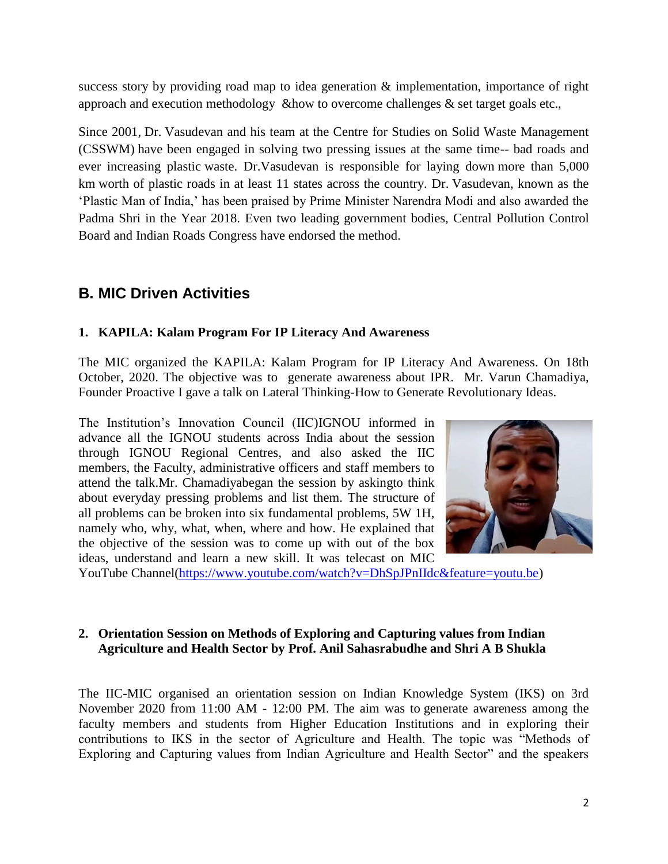success story by providing road map to idea generation & implementation, importance of right approach and execution methodology &how to overcome challenges & set target goals etc.,

Since 2001, Dr. Vasudevan and his team at the Centre for Studies on Solid Waste Management (CSSWM) have been engaged in solving two pressing issues at the same time-- bad roads and ever increasing plastic [waste.](https://www.prakati.in/section/environment/waste/) Dr.Vasudevan is responsible for laying down [more than 5,000](http://www.bloomberg.com/news/articles/2014-07-10/indias-plastic-man-chemist-turns-litter-into-paved-roads) [km](http://www.bloomberg.com/news/articles/2014-07-10/indias-plastic-man-chemist-turns-litter-into-paved-roads) worth of plastic roads in at least 11 states across the country. Dr. Vasudevan, known as the 'Plastic Man of India,' has been praised by Prime Minister Narendra Modi and also awarded the Padma Shri in the Year 2018. Even two leading government bodies, Central Pollution Control Board and Indian Roads Congress have endorsed the method.

## **B. MIC Driven Activities**

#### **1. KAPILA: Kalam Program For IP Literacy And Awareness**

The MIC organized the KAPILA: Kalam Program for IP Literacy And Awareness. On 18th October, 2020. The objective was to generate awareness about IPR. Mr. Varun Chamadiya, Founder Proactive I gave a talk on Lateral Thinking-How to Generate Revolutionary Ideas.

The Institution"s Innovation Council (IIC)IGNOU informed in advance all the IGNOU students across India about the session through IGNOU Regional Centres, and also asked the IIC members, the Faculty, administrative officers and staff members to attend the talk.Mr. Chamadiyabegan the session by askingto think about everyday pressing problems and list them. The structure of all problems can be broken into six fundamental problems, 5W 1H, namely who, why, what, when, where and how. He explained that the objective of the session was to come up with out of the box ideas, understand and learn a new skill. It was telecast on MIC



YouTube Channel[\(https://www.youtube.com/watch?v=DhSpJPnIIdc&feature=youtu.be\)](https://www.youtube.com/watch?v=DhSpJPnIIdc&feature=youtu.be)

#### **2. Orientation Session on Methods of Exploring and Capturing values from Indian Agriculture and Health Sector by Prof. Anil Sahasrabudhe and Shri A B Shukla**

The IIC-MIC organised an orientation session on Indian Knowledge System (IKS) on 3rd November 2020 from 11:00 AM - 12:00 PM. The aim was to generate awareness among the faculty members and students from Higher Education Institutions and in exploring their contributions to IKS in the sector of Agriculture and Health. The topic was "Methods of Exploring and Capturing values from Indian Agriculture and Health Sector" and the speakers